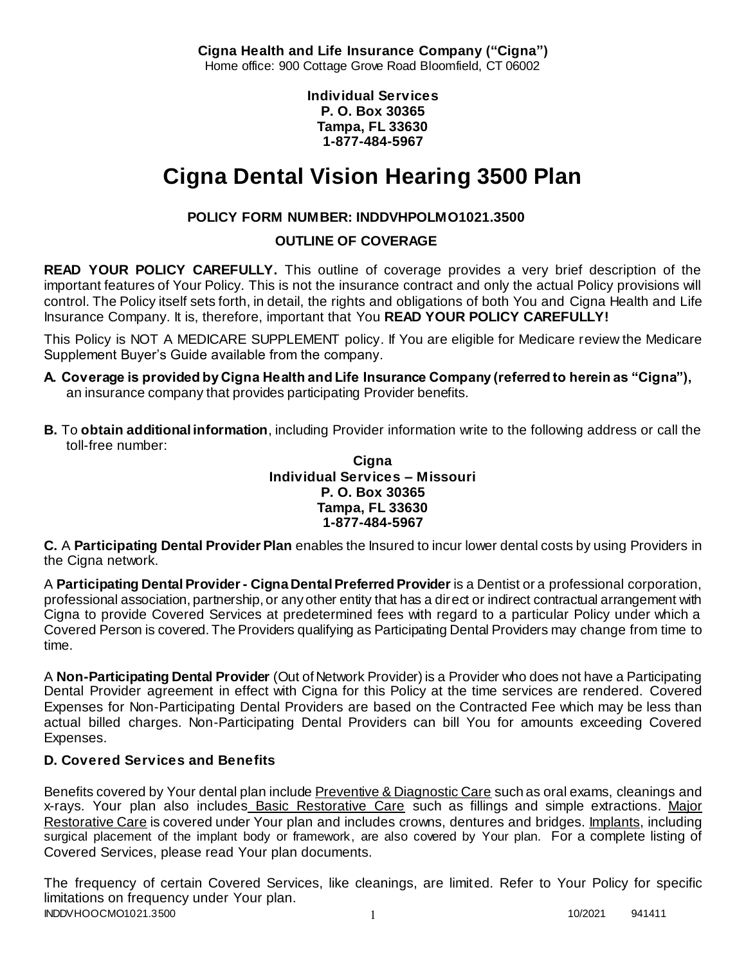**Cigna Health and Life Insurance Company ("Cigna")** Home office: 900 Cottage Grove Road Bloomfield, CT 06002

> **Individual Services P. O. Box 30365 Tampa, FL 33630 1-877-484-5967**

# **Cigna Dental Vision Hearing 3500 Plan**

# **POLICY FORM NUMBER: INDDVHPOLMO1021.3500**

**OUTLINE OF COVERAGE** 

**READ YOUR POLICY CAREFULLY.** This outline of coverage provides a very brief description of the important features of Your Policy. This is not the insurance contract and only the actual Policy provisions will control. The Policy itself sets forth, in detail, the rights and obligations of both You and Cigna Health and Life Insurance Company. It is, therefore, important that You **READ YOUR POLICY CAREFULLY!** 

This Policy is NOT A MEDICARE SUPPLEMENT policy. If You are eligible for Medicare review the Medicare Supplement Buyer's Guide available from the company.

- **A. Coverage is provided by Cigna Health and Life Insurance Company (referred to herein as "Cigna"),**  an insurance company that provides participating Provider benefits.
- **B.** To **obtain additional information**, including Provider information write to the following address or call the toll-free number:

**Cigna Individual Services – Missouri P. O. Box 30365 Tampa, FL 33630 1-877-484-5967**

**C.** A **Participating Dental Provider Plan** enables the Insured to incur lower dental costs by using Providers in the Cigna network.

A **Participating Dental Provider - Cigna Dental Preferred Provider** is a Dentist or a professional corporation, professional association, partnership, or any other entity that has a direct or indirect contractual arrangement with Cigna to provide Covered Services at predetermined fees with regard to a particular Policy under which a Covered Person is covered. The Providers qualifying as Participating Dental Providers may change from time to time.

A **Non-Participating Dental Provider** (Out of Network Provider) is a Provider who does not have a Participating Dental Provider agreement in effect with Cigna for this Policy at the time services are rendered. Covered Expenses for Non-Participating Dental Providers are based on the Contracted Fee which may be less than actual billed charges. Non-Participating Dental Providers can bill You for amounts exceeding Covered Expenses.

## **D. Covered Services and Benefits**

Benefits covered by Your dental plan include Preventive & Diagnostic Care such as oral exams, cleanings and x-rays. Your plan also includes Basic Restorative Care such as fillings and simple extractions. Major Restorative Care is covered under Your plan and includes crowns, dentures and bridges. Implants, including surgical placement of the implant body or framework, are also covered by Your plan. For a complete listing of Covered Services, please read Your plan documents.

INDDVHOOCMO1021.3500 1 1 1002021 941411 The frequency of certain Covered Services, like cleanings, are limited. Refer to Your Policy for specific limitations on frequency under Your plan.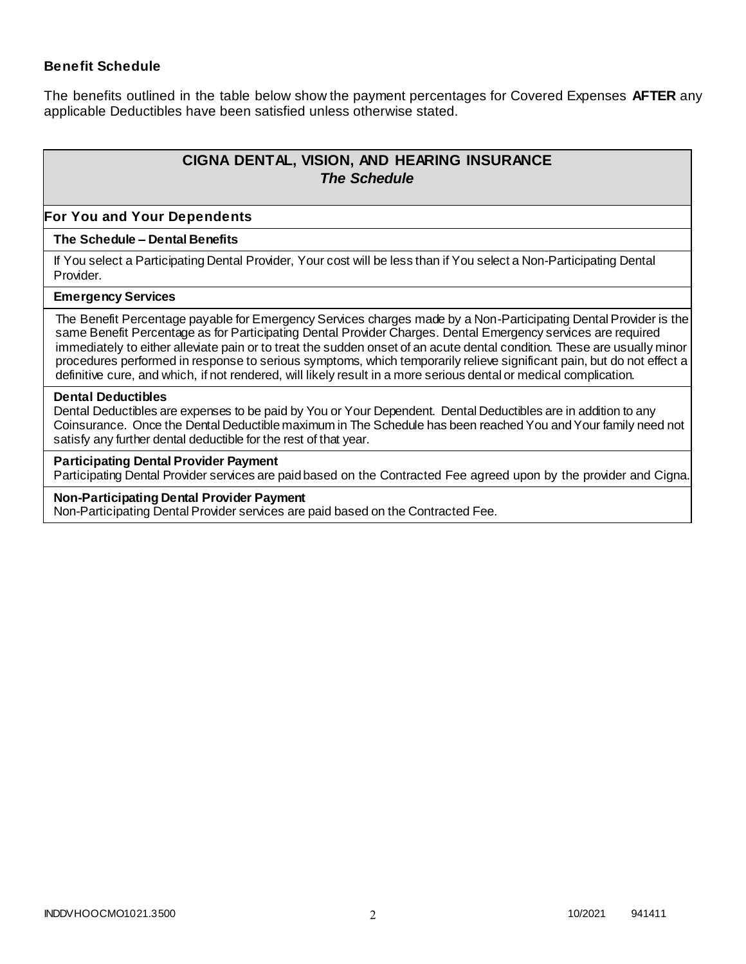## **Benefit Schedule**

The benefits outlined in the table below show the payment percentages for Covered Expenses **AFTER** any applicable Deductibles have been satisfied unless otherwise stated.

# **CIGNA DENTAL, VISION, AND HEARING INSURANCE** *The Schedule*

#### **For You and Your Dependents**

#### **The Schedule – Dental Benefits**

If You select a Participating Dental Provider, Your cost will be less than if You select a Non-Participating Dental Provider.

#### **Emergency Services**

The Benefit Percentage payable for Emergency Services charges made by a Non-Participating Dental Provider is the same Benefit Percentage as for Participating Dental Provider Charges. Dental Emergency services are required immediately to either alleviate pain or to treat the sudden onset of an acute dental condition. These are usually minor procedures performed in response to serious symptoms, which temporarily relieve significant pain, but do not effect a definitive cure, and which, if not rendered, will likely result in a more serious dental or medical complication.

#### **Dental Deductibles**

Dental Deductibles are expenses to be paid by You or Your Dependent. Dental Deductibles are in addition to any Coinsurance. Once the Dental Deductible maximum in The Schedule has been reached You and Your family need not satisfy any further dental deductible for the rest of that year.

#### **Participating Dental Provider Payment**

Participating Dental Provider services are paid based on the Contracted Fee agreed upon by the provider and Cigna.

#### **Non-Participating Dental Provider Payment**

Non-Participating Dental Provider services are paid based on the Contracted Fee.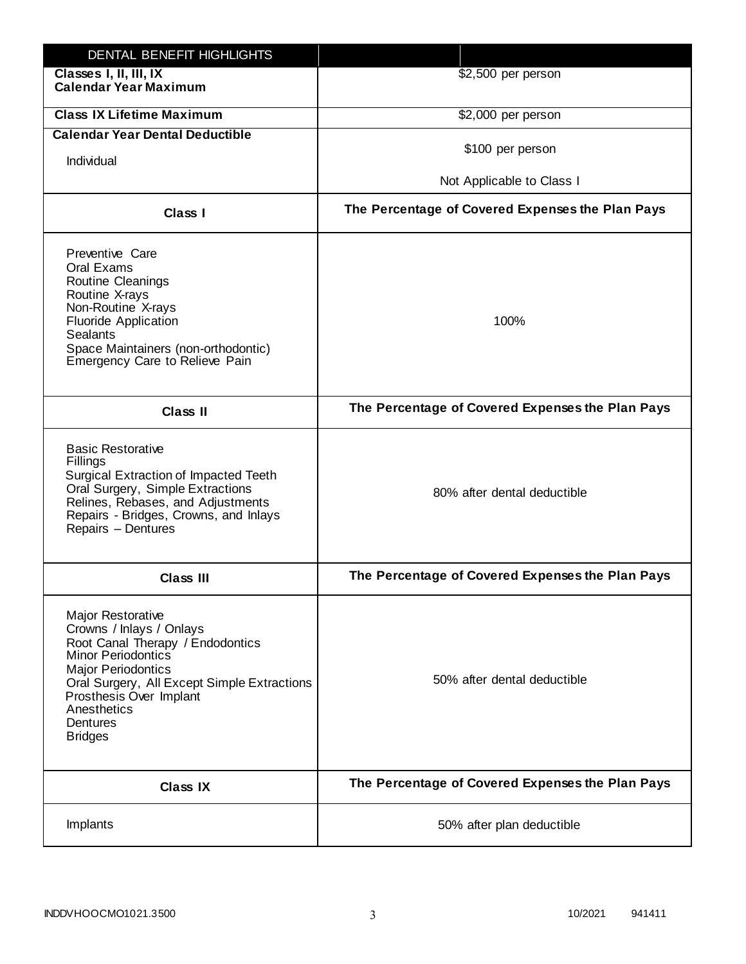| DENTAL BENEFIT HIGHLIGHTS                                                                                                                                                                                                                                                 |                                                  |
|---------------------------------------------------------------------------------------------------------------------------------------------------------------------------------------------------------------------------------------------------------------------------|--------------------------------------------------|
| Classes I, II, III, IX<br><b>Calendar Year Maximum</b>                                                                                                                                                                                                                    | \$2,500 per person                               |
| <b>Class IX Lifetime Maximum</b>                                                                                                                                                                                                                                          | \$2,000 per person                               |
| <b>Calendar Year Dental Deductible</b>                                                                                                                                                                                                                                    |                                                  |
| Individual                                                                                                                                                                                                                                                                | \$100 per person                                 |
|                                                                                                                                                                                                                                                                           | Not Applicable to Class I                        |
| Class I                                                                                                                                                                                                                                                                   | The Percentage of Covered Expenses the Plan Pays |
| Preventive Care<br>Oral Exams<br><b>Routine Cleanings</b><br>Routine X-rays<br>Non-Routine X-rays<br><b>Fluoride Application</b><br><b>Sealants</b><br>Space Maintainers (non-orthodontic)<br>Emergency Care to Relieve Pain                                              | 100%                                             |
| <b>Class II</b>                                                                                                                                                                                                                                                           | The Percentage of Covered Expenses the Plan Pays |
| <b>Basic Restorative</b><br>Fillings<br>Surgical Extraction of Impacted Teeth<br>Oral Surgery, Simple Extractions<br>Relines, Rebases, and Adjustments<br>Repairs - Bridges, Crowns, and Inlays<br>Repairs - Dentures                                                     | 80% after dental deductible                      |
| <b>Class III</b>                                                                                                                                                                                                                                                          | The Percentage of Covered Expenses the Plan Pays |
| <b>Major Restorative</b><br>Crowns / Inlays / Onlays<br>Root Canal Therapy / Endodontics<br><b>Minor Periodontics</b><br><b>Major Periodontics</b><br>Oral Surgery, All Except Simple Extractions<br>Prosthesis Over Implant<br>Anesthetics<br>Dentures<br><b>Bridges</b> | 50% after dental deductible                      |
| <b>Class IX</b>                                                                                                                                                                                                                                                           | The Percentage of Covered Expenses the Plan Pays |
| Implants                                                                                                                                                                                                                                                                  | 50% after plan deductible                        |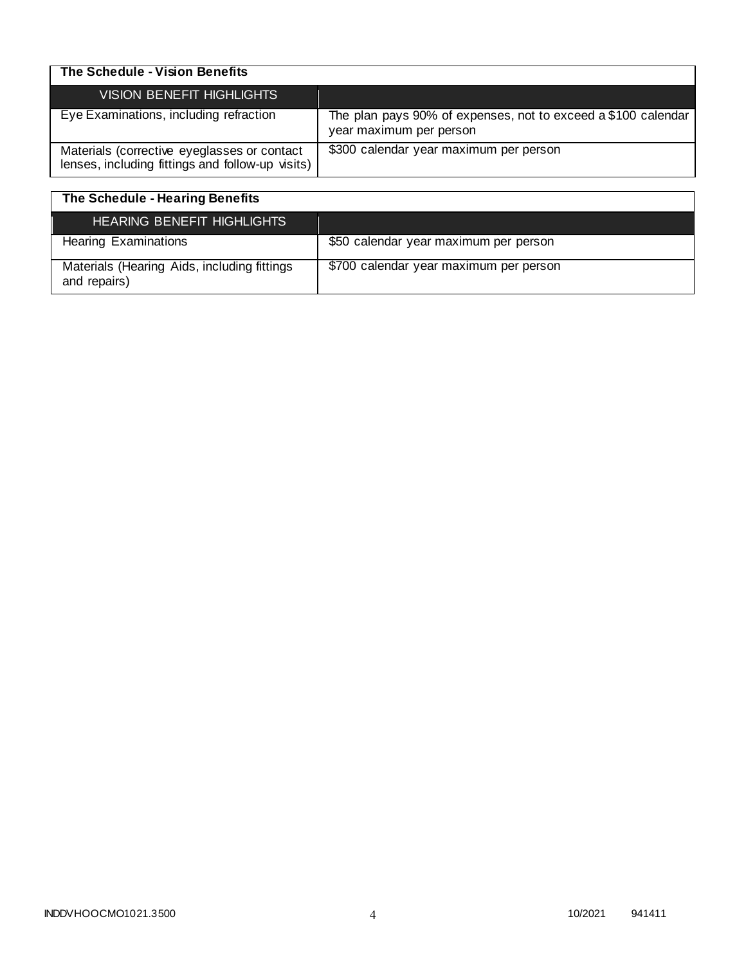| The Schedule - Vision Benefits                                                                  |                                                                                          |
|-------------------------------------------------------------------------------------------------|------------------------------------------------------------------------------------------|
| VISION BENEFIT HIGHLIGHTS                                                                       |                                                                                          |
| Eye Examinations, including refraction                                                          | The plan pays 90% of expenses, not to exceed a \$100 calendar<br>year maximum per person |
| Materials (corrective eyeglasses or contact<br>lenses, including fittings and follow-up visits) | \$300 calendar year maximum per person                                                   |

| The Schedule - Hearing Benefits                             |                                        |
|-------------------------------------------------------------|----------------------------------------|
| HEARING BENEFIT HIGHLIGHTS                                  |                                        |
| <b>Hearing Examinations</b>                                 | \$50 calendar year maximum per person  |
| Materials (Hearing Aids, including fittings<br>and repairs) | \$700 calendar year maximum per person |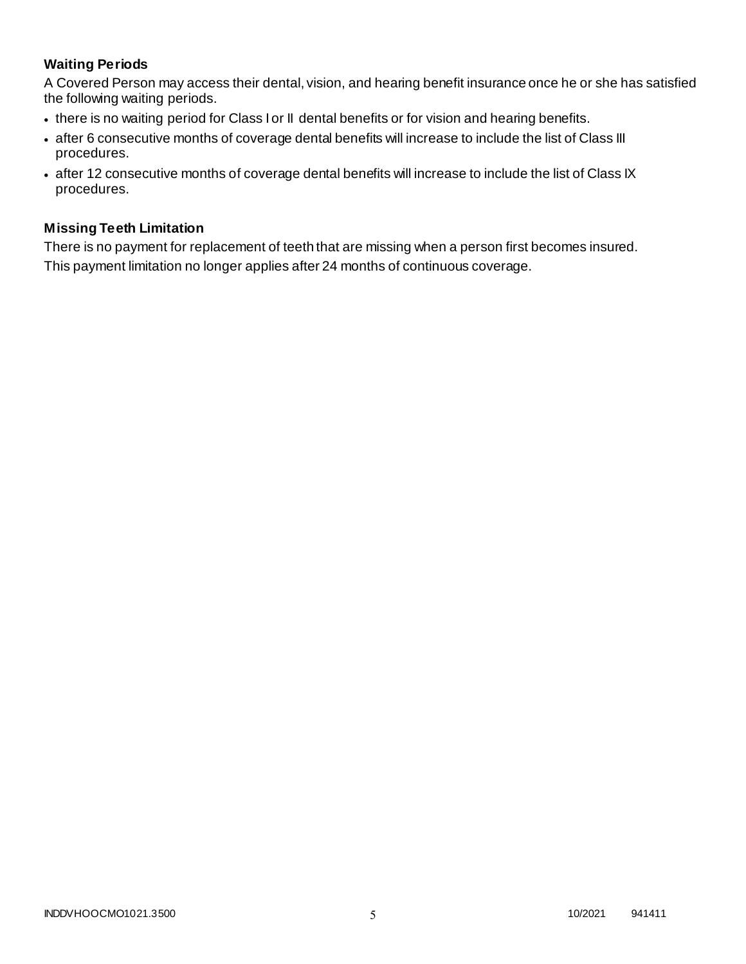# **Waiting Periods**

A Covered Person may access their dental, vision, and hearing benefit insurance once he or she has satisfied the following waiting periods.

- there is no waiting period for Class I or II dental benefits or for vision and hearing benefits.
- after 6 consecutive months of coverage dental benefits will increase to include the list of Class III procedures.
- after 12 consecutive months of coverage dental benefits will increase to include the list of Class IX procedures.

## **Missing Teeth Limitation**

There is no payment for replacement of teeth that are missing when a person first becomes insured. This payment limitation no longer applies after 24 months of continuous coverage.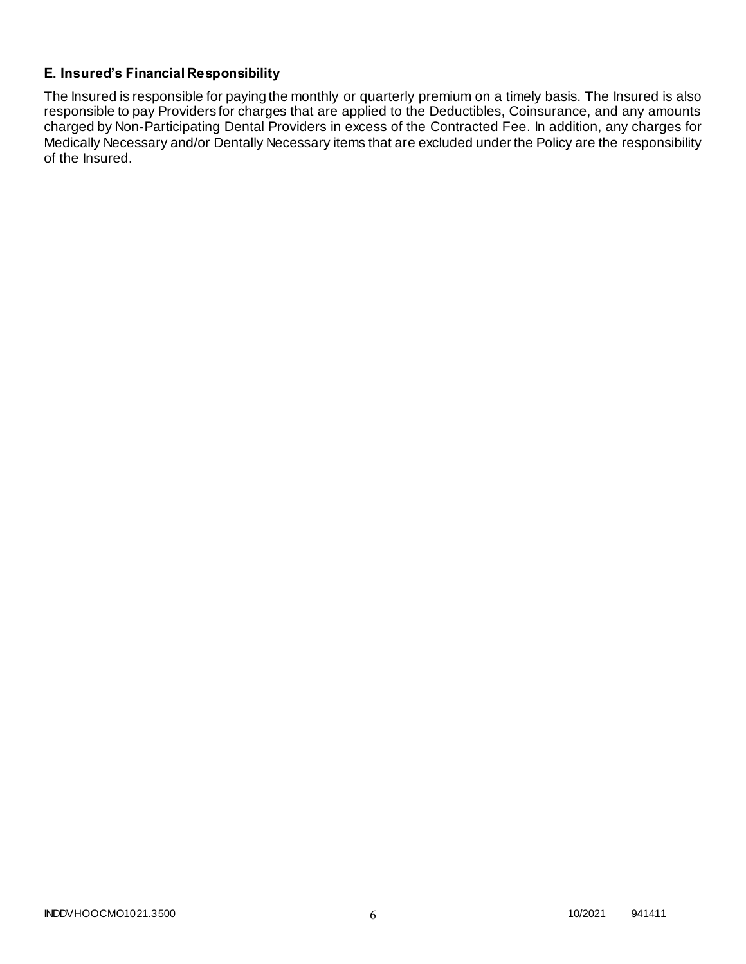## **E. Insured's Financial Responsibility**

The Insured is responsible for paying the monthly or quarterly premium on a timely basis. The Insured is also responsible to pay Providers for charges that are applied to the Deductibles, Coinsurance, and any amounts charged by Non-Participating Dental Providers in excess of the Contracted Fee. In addition, any charges for Medically Necessary and/or Dentally Necessary items that are excluded under the Policy are the responsibility of the Insured.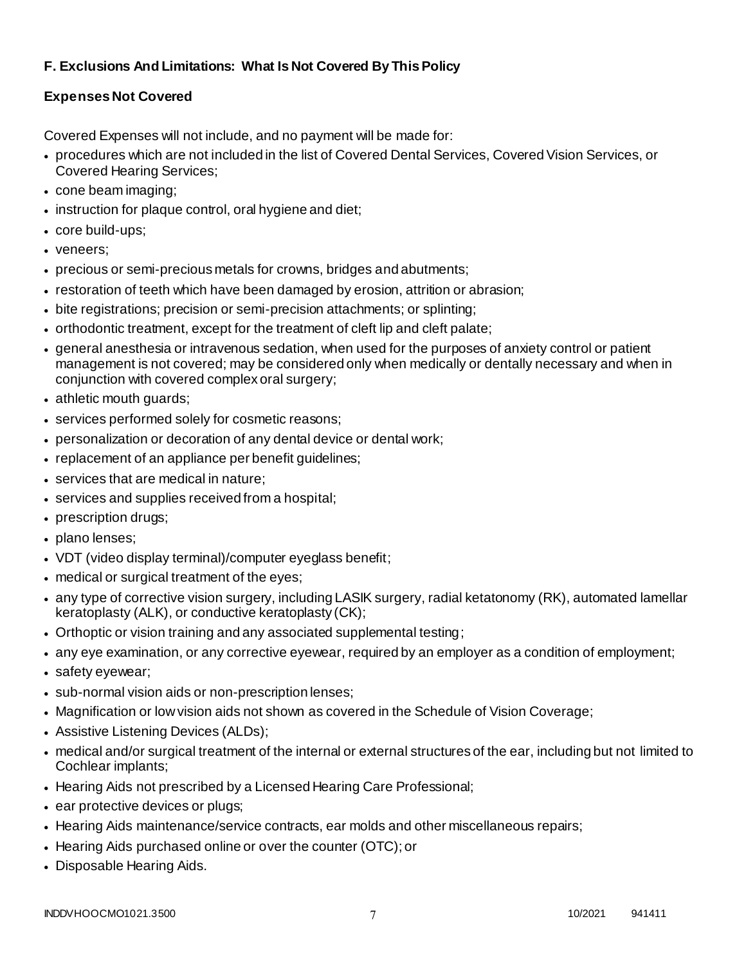# **F. Exclusions And Limitations: What Is Not Covered By This Policy**

# **Expenses Not Covered**

Covered Expenses will not include, and no payment will be made for:

- procedures which are not included in the list of Covered Dental Services, Covered Vision Services, or Covered Hearing Services;
- cone beam imaging;
- instruction for plaque control, oral hygiene and diet;
- core build-ups;
- veneers;
- precious or semi-precious metals for crowns, bridges and abutments;
- restoration of teeth which have been damaged by erosion, attrition or abrasion;
- bite registrations; precision or semi-precision attachments; or splinting;
- orthodontic treatment, except for the treatment of cleft lip and cleft palate;
- general anesthesia or intravenous sedation, when used for the purposes of anxiety control or patient management is not covered; may be considered only when medically or dentally necessary and when in conjunction with covered complex oral surgery;
- athletic mouth guards;
- services performed solely for cosmetic reasons;
- personalization or decoration of any dental device or dental work;
- replacement of an appliance per benefit guidelines;
- services that are medical in nature;
- services and supplies received from a hospital;
- prescription drugs;
- plano lenses;
- VDT (video display terminal)/computer eyeglass benefit;
- medical or surgical treatment of the eyes;
- any type of corrective vision surgery, including LASIK surgery, radial ketatonomy (RK), automated lamellar keratoplasty (ALK), or conductive keratoplasty (CK);
- Orthoptic or vision training and any associated supplemental testing;
- any eye examination, or any corrective eyewear, required by an employer as a condition of employment;
- safety eyewear;
- sub-normal vision aids or non-prescription lenses;
- Magnification or low vision aids not shown as covered in the Schedule of Vision Coverage;
- Assistive Listening Devices (ALDs);
- medical and/or surgical treatment of the internal or external structures of the ear, including but not limited to Cochlear implants;
- Hearing Aids not prescribed by a Licensed Hearing Care Professional;
- ear protective devices or plugs;
- Hearing Aids maintenance/service contracts, ear molds and other miscellaneous repairs;
- Hearing Aids purchased online or over the counter (OTC); or
- Disposable Hearing Aids.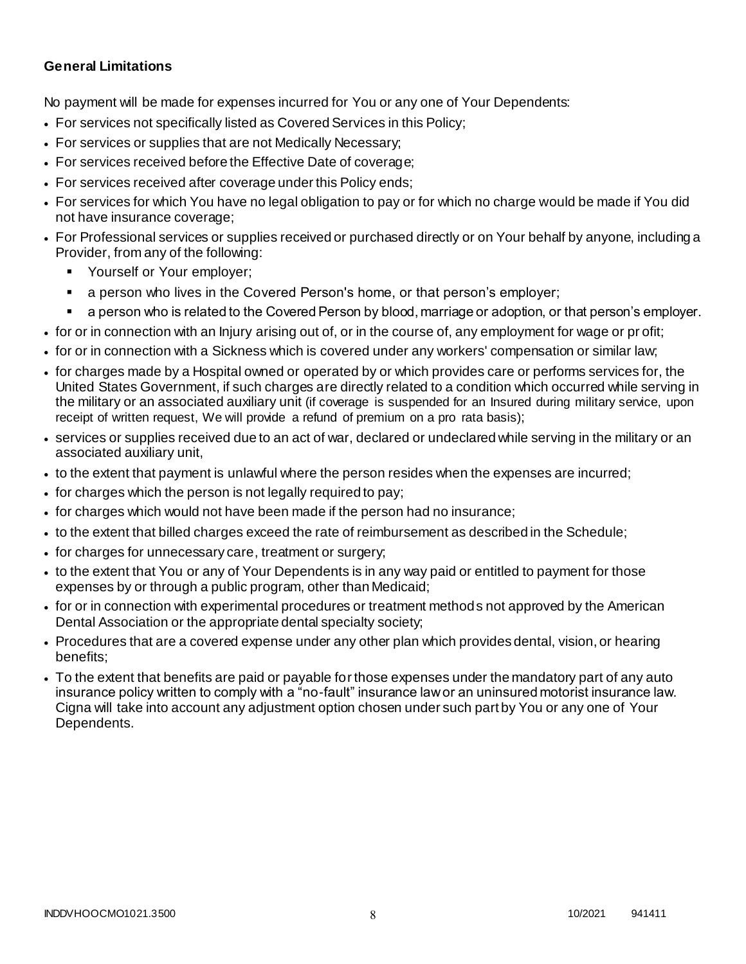## **General Limitations**

No payment will be made for expenses incurred for You or any one of Your Dependents:

- For services not specifically listed as Covered Services in this Policy;
- For services or supplies that are not Medically Necessary;
- For services received before the Effective Date of coverage;
- For services received after coverage under this Policy ends;
- For services for which You have no legal obligation to pay or for which no charge would be made if You did not have insurance coverage;
- For Professional services or supplies received or purchased directly or on Your behalf by anyone, including a Provider, from any of the following:
	- Yourself or Your employer;
	- a person who lives in the Covered Person's home, or that person's employer;
	- a person who is related to the Covered Person by blood, marriage or adoption, or that person's employer.
- for or in connection with an Injury arising out of, or in the course of, any employment for wage or pr ofit;
- for or in connection with a Sickness which is covered under any workers' compensation or similar law;
- for charges made by a Hospital owned or operated by or which provides care or performs services for, the United States Government, if such charges are directly related to a condition which occurred while serving in the military or an associated auxiliary unit (if coverage is suspended for an Insured during military service, upon receipt of written request, We will provide a refund of premium on a pro rata basis);
- services or supplies received due to an act of war, declared or undeclared while serving in the military or an associated auxiliary unit,
- to the extent that payment is unlawful where the person resides when the expenses are incurred;
- for charges which the person is not legally required to pay;
- for charges which would not have been made if the person had no insurance;
- to the extent that billed charges exceed the rate of reimbursement as described in the Schedule;
- for charges for unnecessary care, treatment or surgery;
- to the extent that You or any of Your Dependents is in any way paid or entitled to payment for those expenses by or through a public program, other than Medicaid;
- for or in connection with experimental procedures or treatment methods not approved by the American Dental Association or the appropriate dental specialty society;
- Procedures that are a covered expense under any other plan which provides dental, vision, or hearing benefits;
- To the extent that benefits are paid or payable for those expenses under the mandatory part of any auto insurance policy written to comply with a "no-fault" insurance law or an uninsured motorist insurance law. Cigna will take into account any adjustment option chosen under such part by You or any one of Your Dependents.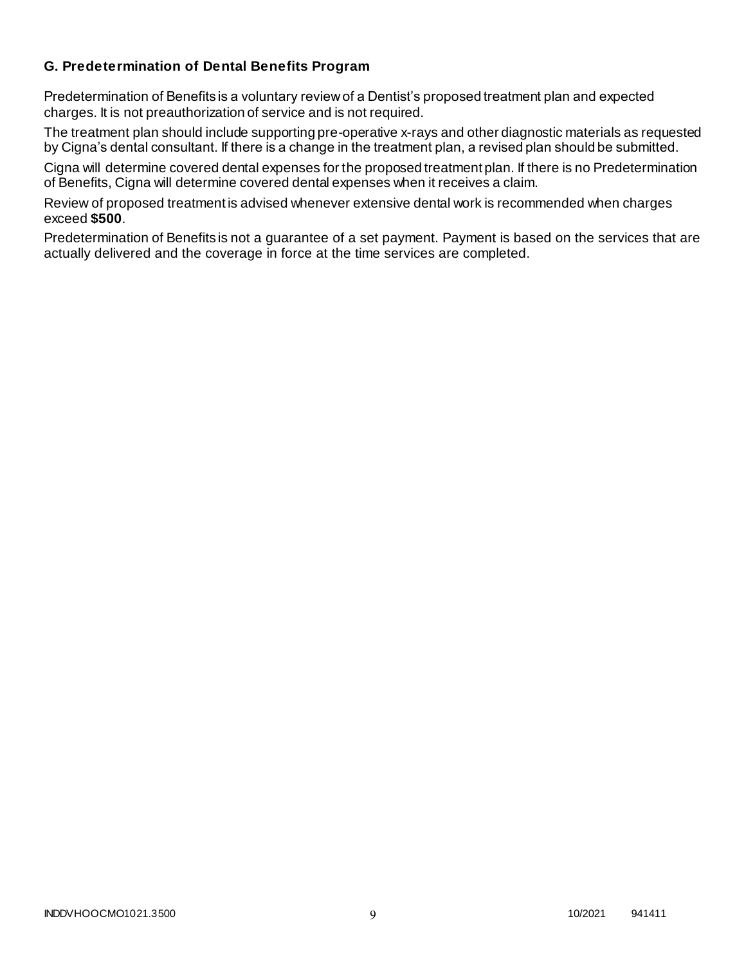## **G. Predetermination of Dental Benefits Program**

Predetermination of Benefits is a voluntary review of a Dentist's proposed treatment plan and expected charges. It is not preauthorization of service and is not required.

The treatment plan should include supporting pre-operative x-rays and other diagnostic materials as requested by Cigna's dental consultant. If there is a change in the treatment plan, a revised plan should be submitted.

Cigna will determine covered dental expenses for the proposed treatment plan. If there is no Predetermination of Benefits, Cigna will determine covered dental expenses when it receives a claim.

Review of proposed treatment is advised whenever extensive dental work is recommended when charges exceed **\$500**.

Predetermination of Benefits is not a guarantee of a set payment. Payment is based on the services that are actually delivered and the coverage in force at the time services are completed.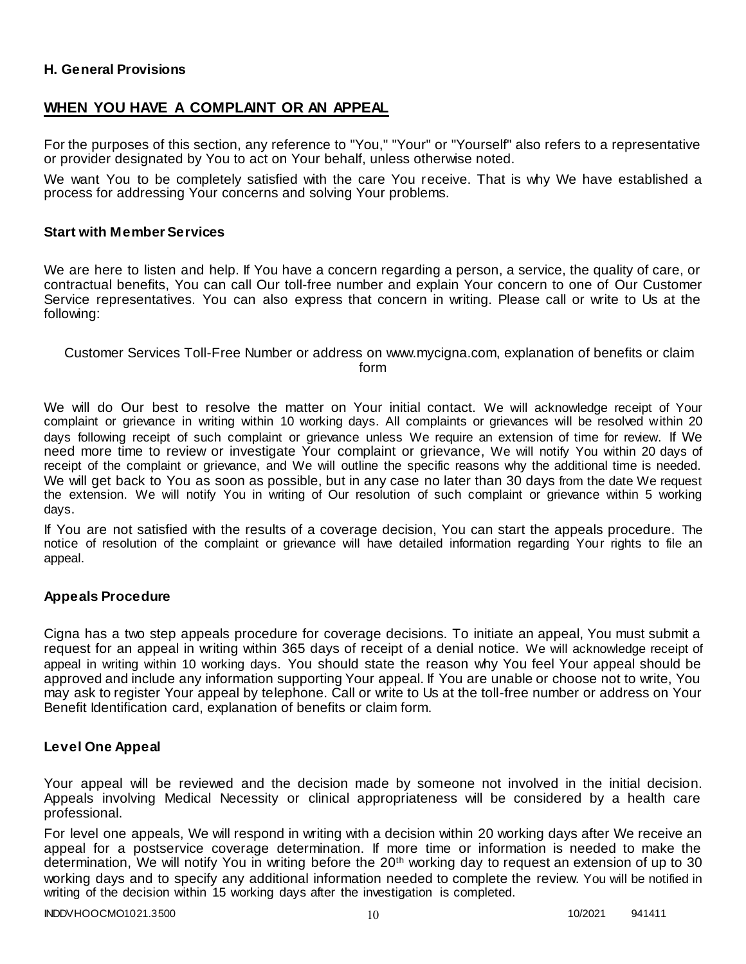## **H. General Provisions**

## **WHEN YOU HAVE A COMPLAINT OR AN APPEAL**

For the purposes of this section, any reference to "You," "Your" or "Yourself" also refers to a representative or provider designated by You to act on Your behalf, unless otherwise noted.

We want You to be completely satisfied with the care You receive. That is why We have established a process for addressing Your concerns and solving Your problems.

#### **Start with Member Services**

We are here to listen and help. If You have a concern regarding a person, a service, the quality of care, or contractual benefits, You can call Our toll-free number and explain Your concern to one of Our Customer Service representatives. You can also express that concern in writing. Please call or write to Us at the following:

#### Customer Services Toll-Free Number or address on www.mycigna.com, explanation of benefits or claim form

We will do Our best to resolve the matter on Your initial contact. We will acknowledge receipt of Your complaint or grievance in writing within 10 working days. All complaints or grievances will be resolved within 20 days following receipt of such complaint or grievance unless We require an extension of time for review. If We need more time to review or investigate Your complaint or grievance, We will notify You within 20 days of receipt of the complaint or grievance, and We will outline the specific reasons why the additional time is needed. We will get back to You as soon as possible, but in any case no later than 30 days from the date We request the extension. We will notify You in writing of Our resolution of such complaint or grievance within 5 working days.

If You are not satisfied with the results of a coverage decision, You can start the appeals procedure. The notice of resolution of the complaint or grievance will have detailed information regarding Your rights to file an appeal.

## **Appeals Procedure**

Cigna has a two step appeals procedure for coverage decisions. To initiate an appeal, You must submit a request for an appeal in writing within 365 days of receipt of a denial notice. We will acknowledge receipt of appeal in writing within 10 working days. You should state the reason why You feel Your appeal should be approved and include any information supporting Your appeal. If You are unable or choose not to write, You may ask to register Your appeal by telephone. Call or write to Us at the toll-free number or address on Your Benefit Identification card, explanation of benefits or claim form.

#### **Level One Appeal**

Your appeal will be reviewed and the decision made by someone not involved in the initial decision. Appeals involving Medical Necessity or clinical appropriateness will be considered by a health care professional.

For level one appeals, We will respond in writing with a decision within 20 working days after We receive an appeal for a postservice coverage determination. If more time or information is needed to make the determination, We will notify You in writing before the 20<sup>th</sup> working day to request an extension of up to 30 working days and to specify any additional information needed to complete the review. You will be notified in writing of the decision within 15 working days after the investigation is completed.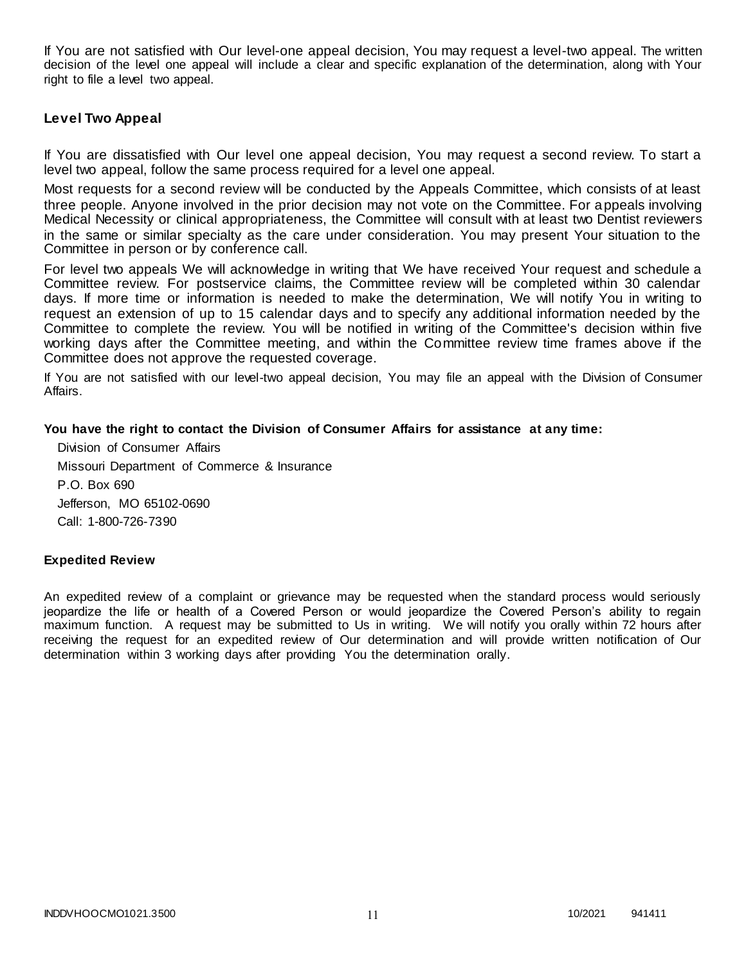If You are not satisfied with Our level-one appeal decision, You may request a level-two appeal. The written decision of the level one appeal will include a clear and specific explanation of the determination, along with Your right to file a level two appeal.

## **Level Two Appeal**

If You are dissatisfied with Our level one appeal decision, You may request a second review. To start a level two appeal, follow the same process required for a level one appeal.

Most requests for a second review will be conducted by the Appeals Committee, which consists of at least three people. Anyone involved in the prior decision may not vote on the Committee. For appeals involving Medical Necessity or clinical appropriateness, the Committee will consult with at least two Dentist reviewers in the same or similar specialty as the care under consideration. You may present Your situation to the Committee in person or by conference call.

For level two appeals We will acknowledge in writing that We have received Your request and schedule a Committee review. For postservice claims, the Committee review will be completed within 30 calendar days. If more time or information is needed to make the determination, We will notify You in writing to request an extension of up to 15 calendar days and to specify any additional information needed by the Committee to complete the review. You will be notified in writing of the Committee's decision within five working days after the Committee meeting, and within the Committee review time frames above if the Committee does not approve the requested coverage.

If You are not satisfied with our level-two appeal decision, You may file an appeal with the Division of Consumer Affairs.

#### **You have the right to contact the Division of Consumer Affairs for assistance at any time:**

Division of Consumer Affairs Missouri Department of Commerce & Insurance P.O. Box 690 Jefferson, MO 65102-0690 Call: 1-800-726-7390

#### **Expedited Review**

An expedited review of a complaint or grievance may be requested when the standard process would seriously jeopardize the life or health of a Covered Person or would jeopardize the Covered Person's ability to regain maximum function. A request may be submitted to Us in writing. We will notify you orally within 72 hours after receiving the request for an expedited review of Our determination and will provide written notification of Our determination within 3 working days after providing You the determination orally.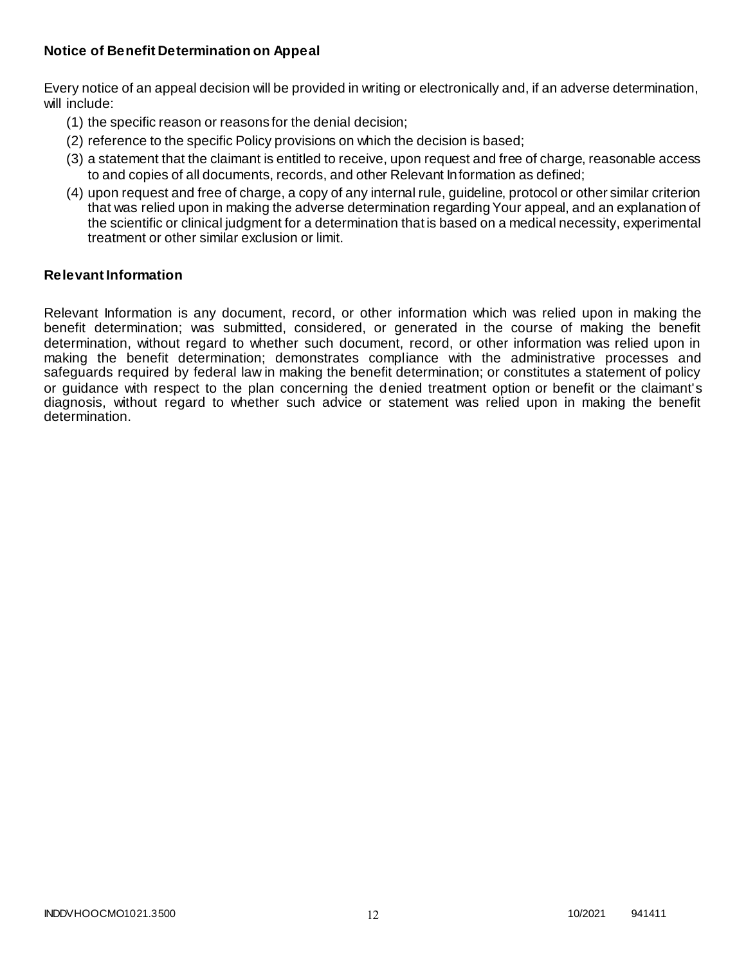## **Notice of Benefit Determination on Appeal**

Every notice of an appeal decision will be provided in writing or electronically and, if an adverse determination, will include:

- (1) the specific reason or reasons for the denial decision;
- (2) reference to the specific Policy provisions on which the decision is based;
- (3) a statement that the claimant is entitled to receive, upon request and free of charge, reasonable access to and copies of all documents, records, and other Relevant Information as defined;
- (4) upon request and free of charge, a copy of any internal rule, guideline, protocol or other similar criterion that was relied upon in making the adverse determination regarding Your appeal, and an explanation of the scientific or clinical judgment for a determination that is based on a medical necessity, experimental treatment or other similar exclusion or limit.

## **Relevant Information**

Relevant Information is any document, record, or other information which was relied upon in making the benefit determination; was submitted, considered, or generated in the course of making the benefit determination, without regard to whether such document, record, or other information was relied upon in making the benefit determination; demonstrates compliance with the administrative processes and safeguards required by federal law in making the benefit determination; or constitutes a statement of policy or guidance with respect to the plan concerning the denied treatment option or benefit or the claimant's diagnosis, without regard to whether such advice or statement was relied upon in making the benefit determination.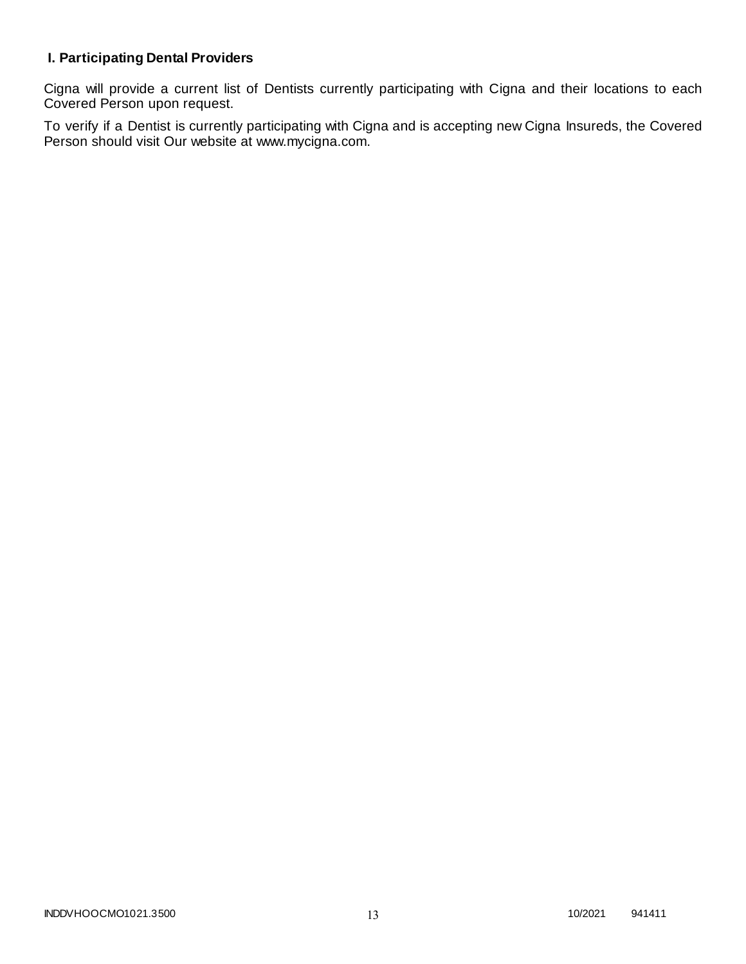# **I. Participating Dental Providers**

Cigna will provide a current list of Dentists currently participating with Cigna and their locations to each Covered Person upon request.

To verify if a Dentist is currently participating with Cigna and is accepting new Cigna Insureds, the Covered Person should visit Our website at www.mycigna.com.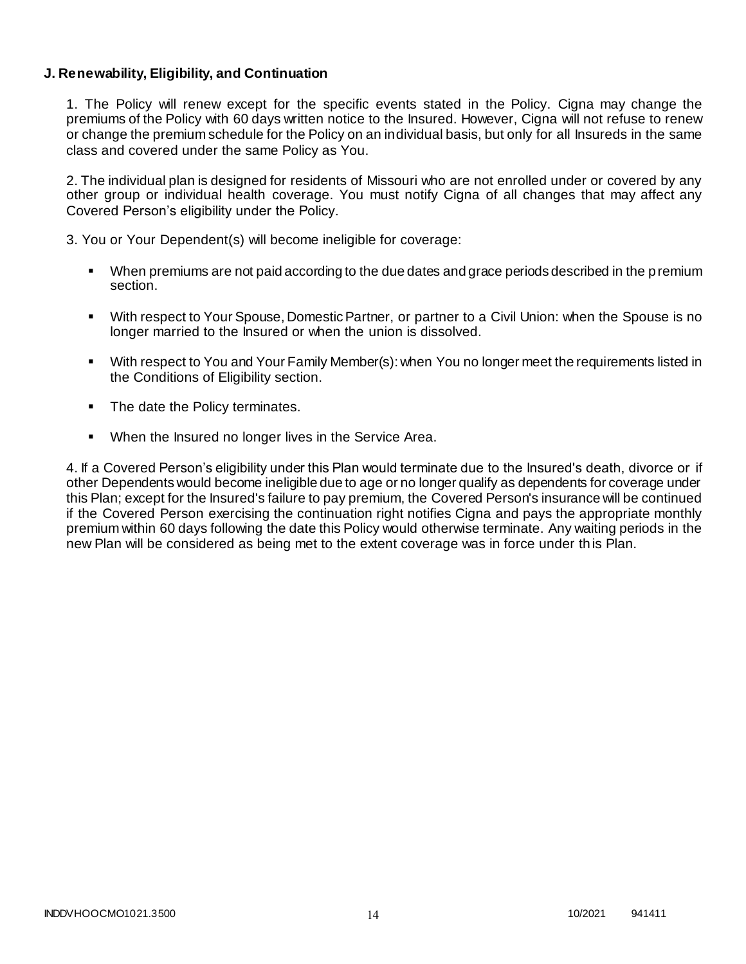## **J. Renewability, Eligibility, and Continuation**

1. The Policy will renew except for the specific events stated in the Policy. Cigna may change the premiums of the Policy with 60 days written notice to the Insured. However, Cigna will not refuse to renew or change the premium schedule for the Policy on an individual basis, but only for all Insureds in the same class and covered under the same Policy as You.

2. The individual plan is designed for residents of Missouri who are not enrolled under or covered by any other group or individual health coverage. You must notify Cigna of all changes that may affect any Covered Person's eligibility under the Policy.

3. You or Your Dependent(s) will become ineligible for coverage:

- When premiums are not paid according to the due dates and grace periods described in the premium section.
- With respect to Your Spouse, Domestic Partner, or partner to a Civil Union: when the Spouse is no longer married to the Insured or when the union is dissolved.
- With respect to You and Your Family Member(s): when You no longer meet the requirements listed in the Conditions of Eligibility section.
- The date the Policy terminates.
- When the Insured no longer lives in the Service Area.

4. If a Covered Person's eligibility under this Plan would terminate due to the Insured's death, divorce or if other Dependents would become ineligible due to age or no longer qualify as dependents for coverage under this Plan; except for the Insured's failure to pay premium, the Covered Person's insurance will be continued if the Covered Person exercising the continuation right notifies Cigna and pays the appropriate monthly premium within 60 days following the date this Policy would otherwise terminate. Any waiting periods in the new Plan will be considered as being met to the extent coverage was in force under th is Plan.